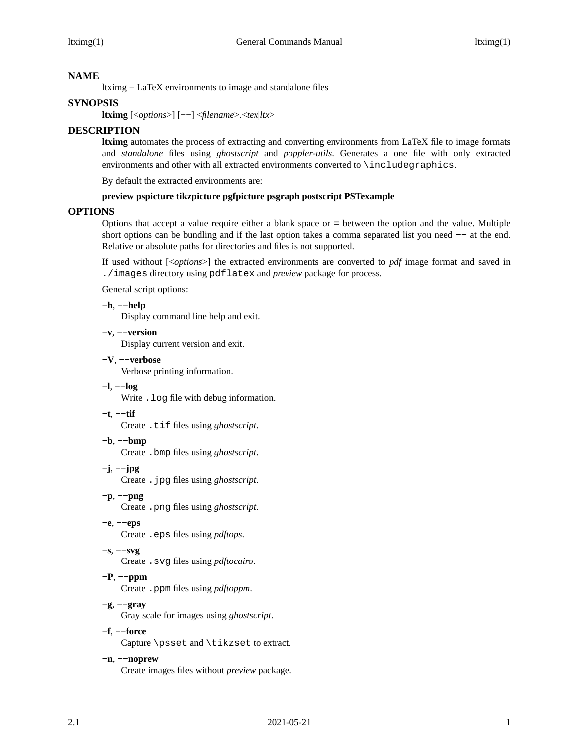# **NAME**

ltximg - LaTeX environments to image and standalone files

# **SYNOPSIS**

**ltximg** [<*options*>] [--] <*filename*>.<*tex*|*ltx*>

## **DESCRIPTION**

**ltximg** automates the process of extracting and converting environments from LaTeX file to image formats and *standalone* files using *ghostscript* and *poppler-utils*. Generates a one file with only extracted environments and other with all extracted environments converted to \includegraphics.

By default the extracted environments are:

### **preview pspicture tikzpicture pgfpicture psgraph postscript PSTexample**

### **OPTIONS**

Options that accept a value require either a blank space or = between the option and the value. Multiple short options can be bundling and if the last option takes a comma separated list you need  $-$  at the end. Relative or absolute paths for directories and files is not supported.

If used without [<*options*>] the extracted environments are converted to *pdf* image format and saved in ./images directory using pdflatex and *preview* package for process.

General script options:

### **-h**, **--help**

Display command line help and exit.

#### **-v**, **--version**

Display current version and exit.

**-V**, **--verbose**

Verbose printing information.

**-l**, **--log**

Write .log file with debug information.

**-t**, **--tif**

Create .tif files using *ghostscript*.

**-b**, **--bmp**

Create .bmp files using *ghostscript*.

**-j**, **--jpg**

Create .jpg files using *ghostscript*.

- **-p**, **--png** Create .png files using *ghostscript*.
- **-e**, **--eps**

Create .eps files using *pdftops*.

**-s**, **--svg**

Create .svg files using *pdftocairo*.

**-P**, **--ppm**

Create .ppm files using *pdftoppm*.

**-g**, **--gray**

Gray scale for images using *ghostscript*.

**-f**, **--force**

Capture \psset and \tikzset to extract.

# **-n**, **--noprew**

Create images files without *preview* package.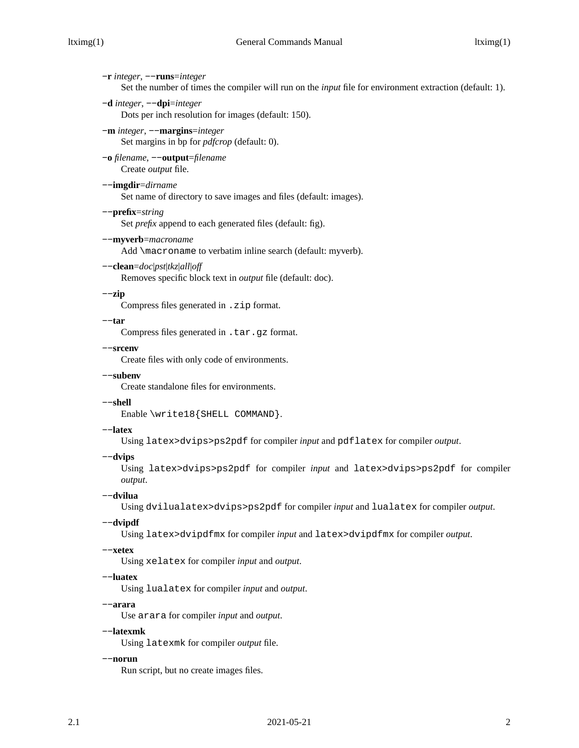**-r** *integer*, **--runs**=*integer* Set the number of times the compiler will run on the *input* file for environment extraction (default: 1). **-d** *integer*, **--dpi**=*integer* Dots per inch resolution for images (default: 150). **-m** *integer*, **--margins**=*integer* Set margins in bp for *pdfcrop* (default: 0). **-o** *filename*, **--output**=*filename* Create *output* file. **--imgdir**=*dirname* Set name of directory to save images and files (default: images). **--prefix**=*string* Set *prefix* append to each generated files (default: fig). **--myverb**=*macroname* Add \macroname to verbatim inline search (default: myverb). **--clean**=*doc*|*pst*|*tkz*|*all*|*off* Removes specific block text in *output* file (default: doc). **--zip** Compress files generated in .zip format. **--tar** Compress files generated in .tar.gz format. **--srcenv** Create files with only code of environments. **--subenv** Create standalone files for environments. **--shell** Enable \write18{SHELL COMMAND}. **--latex** Using latex>dvips>ps2pdf for compiler *input* and pdflatex for compiler *output*. **--dvips** Using latex>dvips>ps2pdf for compiler *input* and latex>dvips>ps2pdf for compiler *output*. **--dvilua** Using dvilualatex>dvips>ps2pdf for compiler *input* and lualatex for compiler *output*. **--dvipdf** Using latex>dvipdfmx for compiler *input* and latex>dvipdfmx for compiler *output*. **--xetex** Using xelatex for compiler *input* and *output*. **--luatex** Using lualatex for compiler *input* and *output*. **--arara** Use arara for compiler *input* and *output*. **--latexmk** Using latexmk for compiler *output* file. **--norun**

Run script, but no create images files.